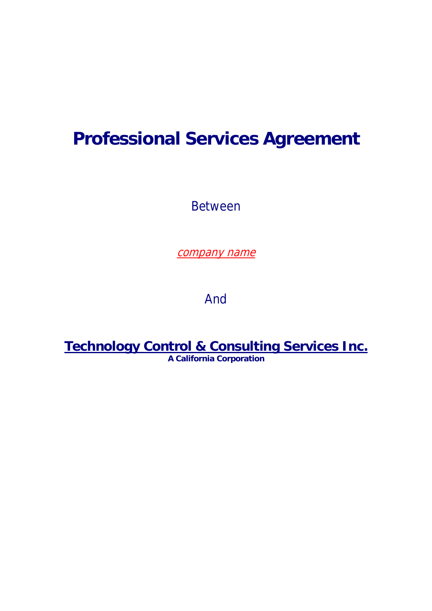# **Professional Services Agreement**

Between

company name

And

**Technology Control & Consulting Services Inc. A California Corporation**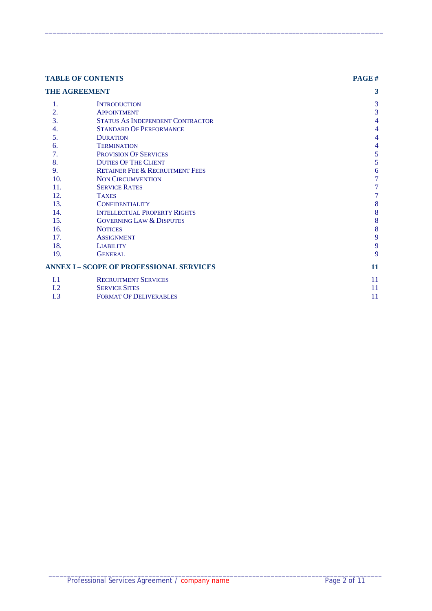|     | <b>TABLE OF CONTENTS</b>                        | PAGE#            |
|-----|-------------------------------------------------|------------------|
|     | <b>THE AGREEMENT</b>                            | 3                |
| 1.  | <b>INTRODUCTION</b>                             | 3                |
| 2.  | <b>APPOINTMENT</b>                              | 3                |
| 3.  | STATUS AS INDEPENDENT CONTRACTOR                | 4                |
| 4.  | <b>STANDARD OF PERFORMANCE</b>                  | 4                |
| 5.  | <b>DURATION</b>                                 | 4                |
| 6.  | <b>TERMINATION</b>                              | 4                |
| 7.  | <b>PROVISION OF SERVICES</b>                    | 5                |
| 8.  | <b>DUTIES OF THE CLIENT</b>                     | 5                |
| 9.  | <b>RETAINER FEE &amp; RECRUITMENT FEES</b>      | 6                |
| 10. | <b>NON CIRCUMVENTION</b>                        | 7                |
| 11. | <b>SERVICE RATES</b>                            | 7                |
| 12. | <b>TAXES</b>                                    | 7                |
| 13. | <b>CONFIDENTIALITY</b>                          | $\boldsymbol{8}$ |
| 14. | <b>INTELLECTUAL PROPERTY RIGHTS</b>             | 8                |
| 15. | <b>GOVERNING LAW &amp; DISPUTES</b>             | 8                |
| 16. | <b>NOTICES</b>                                  | $\boldsymbol{8}$ |
| 17. | <b>ASSIGNMENT</b>                               | 9                |
| 18. | <b>LIABILITY</b>                                | 9                |
| 19. | <b>GENERAL</b>                                  | 9                |
|     | <b>ANNEX I - SCOPE OF PROFESSIONAL SERVICES</b> | 11               |
| I.1 | <b>RECRUITMENT SERVICES</b>                     | 11               |
| I.2 | <b>SERVICE SITES</b>                            | 11               |
| I.3 | <b>FORMAT OF DELIVERABLES</b>                   | 11               |

 $\_$  ,  $\_$  ,  $\_$  ,  $\_$  ,  $\_$  ,  $\_$  ,  $\_$  ,  $\_$  ,  $\_$  ,  $\_$  ,  $\_$  ,  $\_$  ,  $\_$  ,  $\_$  ,  $\_$  ,  $\_$  ,  $\_$  ,  $\_$  ,  $\_$  ,  $\_$  ,  $\_$  ,  $\_$  ,  $\_$  ,  $\_$  ,  $\_$  ,  $\_$  ,  $\_$  ,  $\_$  ,  $\_$  ,  $\_$  ,  $\_$  ,  $\_$  ,  $\_$  ,  $\_$  ,  $\_$  ,  $\_$  ,  $\_$  ,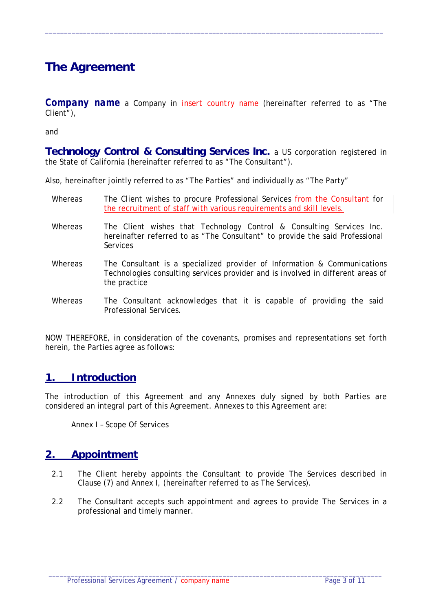# **The Agreement**

*Company name* a Company in *insert country name* (hereinafter referred to as "The Client"),

 $\_$  ,  $\_$  ,  $\_$  ,  $\_$  ,  $\_$  ,  $\_$  ,  $\_$  ,  $\_$  ,  $\_$  ,  $\_$  ,  $\_$  ,  $\_$  ,  $\_$  ,  $\_$  ,  $\_$  ,  $\_$  ,  $\_$  ,  $\_$  ,  $\_$  ,  $\_$  ,  $\_$  ,  $\_$  ,  $\_$  ,  $\_$  ,  $\_$  ,  $\_$  ,  $\_$  ,  $\_$  ,  $\_$  ,  $\_$  ,  $\_$  ,  $\_$  ,  $\_$  ,  $\_$  ,  $\_$  ,  $\_$  ,  $\_$  ,

and

**Technology Control & Consulting Services Inc.** a US corporation registered in the State of California (hereinafter referred to as "The Consultant").

Also, hereinafter jointly referred to as "The Parties" and individually as "The Party"

- Whereas The Client wishes to procure Professional Services from the Consultant for the recruitment of staff with various requirements and skill levels.
- Whereas The Client wishes that Technology Control & Consulting Services Inc. hereinafter referred to as "The Consultant" to provide the said Professional Services
- Whereas The Consultant is a specialized provider of Information & Communications Technologies consulting services provider and is involved in different areas of the practice
- Whereas The Consultant acknowledges that it is capable of providing the said Professional Services.

NOW THEREFORE, in consideration of the covenants, promises and representations set forth herein, the Parties agree as follows:

### **1. Introduction**

The introduction of this Agreement and any Annexes duly signed by both Parties are considered an integral part of this Agreement. Annexes to this Agreement are:

Annex I – Scope Of Services

### **2. Appointment**

- 2.1 The Client hereby appoints the Consultant to provide The Services described in Clause (7) and Annex I, (hereinafter referred to as The Services).
- 2.2 The Consultant accepts such appointment and agrees to provide The Services in a professional and timely manner.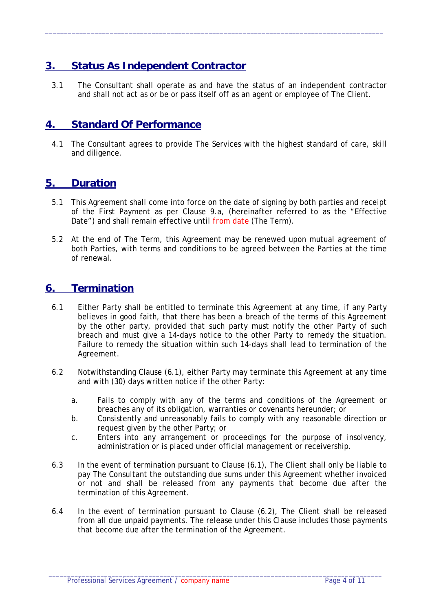# **3. Status As Independent Contractor**

3.1 The Consultant shall operate as and have the status of an independent contractor and shall not act as or be or pass itself off as an agent or employee of The Client.

 $\_$  ,  $\_$  ,  $\_$  ,  $\_$  ,  $\_$  ,  $\_$  ,  $\_$  ,  $\_$  ,  $\_$  ,  $\_$  ,  $\_$  ,  $\_$  ,  $\_$  ,  $\_$  ,  $\_$  ,  $\_$  ,  $\_$  ,  $\_$  ,  $\_$  ,  $\_$  ,  $\_$  ,  $\_$  ,  $\_$  ,  $\_$  ,  $\_$  ,  $\_$  ,  $\_$  ,  $\_$  ,  $\_$  ,  $\_$  ,  $\_$  ,  $\_$  ,  $\_$  ,  $\_$  ,  $\_$  ,  $\_$  ,  $\_$  ,

#### **4. Standard Of Performance**

4.1 The Consultant agrees to provide The Services with the highest standard of care, skill and diligence.

#### **5. Duration**

- 5.1 This Agreement shall come into force on the date of signing by both parties and receipt of the First Payment as per Clause 9.a, (hereinafter referred to as the "Effective Date") and shall remain effective until *from date* (The Term).
- 5.2 At the end of The Term, this Agreement may be renewed upon mutual agreement of both Parties, with terms and conditions to be agreed between the Parties at the time of renewal.

#### **6. Termination**

- 6.1 Either Party shall be entitled to terminate this Agreement at any time, if any Party believes in good faith, that there has been a breach of the terms of this Agreement by the other party, provided that such party must notify the other Party of such breach and must give a 14-days notice to the other Party to remedy the situation. Failure to remedy the situation within such 14-days shall lead to termination of the Agreement.
- 6.2 Notwithstanding Clause (6.1), either Party may terminate this Agreement at any time and with (30) days written notice if the other Party:
	- a. Fails to comply with any of the terms and conditions of the Agreement or breaches any of its obligation, warranties or covenants hereunder; or
	- b. Consistently and unreasonably fails to comply with any reasonable direction or request given by the other Party; or
	- c. Enters into any arrangement or proceedings for the purpose of insolvency, administration or is placed under official management or receivership.
- 6.3 In the event of termination pursuant to Clause (6.1), The Client shall only be liable to pay The Consultant the outstanding due sums under this Agreement whether invoiced or not and shall be released from any payments that become due after the termination of this Agreement.
- 6.4 In the event of termination pursuant to Clause (6.2), The Client shall be released from all due unpaid payments. The release under this Clause includes those payments that become due after the termination of the Agreement.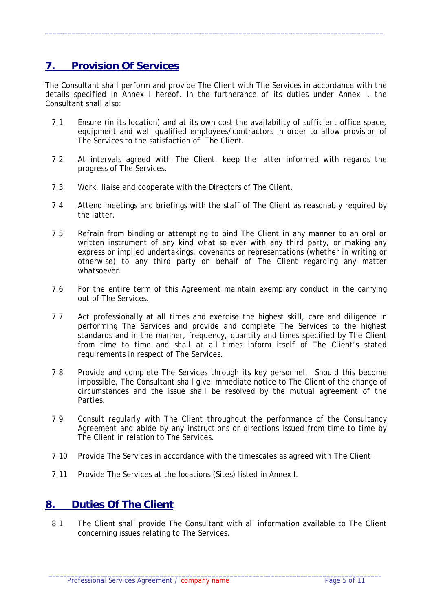# **7. Provision Of Services**

The Consultant shall perform and provide The Client with The Services in accordance with the details specified in Annex I hereof. In the furtherance of its duties under Annex I, the Consultant shall also:

 $\_$  ,  $\_$  ,  $\_$  ,  $\_$  ,  $\_$  ,  $\_$  ,  $\_$  ,  $\_$  ,  $\_$  ,  $\_$  ,  $\_$  ,  $\_$  ,  $\_$  ,  $\_$  ,  $\_$  ,  $\_$  ,  $\_$  ,  $\_$  ,  $\_$  ,  $\_$  ,  $\_$  ,  $\_$  ,  $\_$  ,  $\_$  ,  $\_$  ,  $\_$  ,  $\_$  ,  $\_$  ,  $\_$  ,  $\_$  ,  $\_$  ,  $\_$  ,  $\_$  ,  $\_$  ,  $\_$  ,  $\_$  ,  $\_$  ,

- 7.1 Ensure (in its location) and at its own cost the availability of sufficient office space, equipment and well qualified employees/contractors in order to allow provision of The Services to the satisfaction of The Client.
- 7.2 At intervals agreed with The Client, keep the latter informed with regards the progress of The Services.
- 7.3 Work, liaise and cooperate with the Directors of The Client.
- 7.4 Attend meetings and briefings with the staff of The Client as reasonably required by the latter.
- 7.5 Refrain from binding or attempting to bind The Client in any manner to an oral or written instrument of any kind what so ever with any third party, or making any express or implied undertakings, covenants or representations (whether in writing or otherwise) to any third party on behalf of The Client regarding any matter whatsoever.
- 7.6 For the entire term of this Agreement maintain exemplary conduct in the carrying out of The Services.
- 7.7 Act professionally at all times and exercise the highest skill, care and diligence in performing The Services and provide and complete The Services to the highest standards and in the manner, frequency, quantity and times specified by The Client from time to time and shall at all times inform itself of The Client's stated requirements in respect of The Services.
- 7.8 Provide and complete The Services through its key personnel. Should this become impossible, The Consultant shall give immediate notice to The Client of the change of circumstances and the issue shall be resolved by the mutual agreement of the Parties.
- 7.9 Consult regularly with The Client throughout the performance of the Consultancy Agreement and abide by any instructions or directions issued from time to time by The Client in relation to The Services.
- 7.10 Provide The Services in accordance with the timescales as agreed with The Client.
- 7.11 Provide The Services at the locations (Sites) listed in Annex I.

### **8. Duties Of The Client**

8.1 The Client shall provide The Consultant with all information available to The Client concerning issues relating to The Services.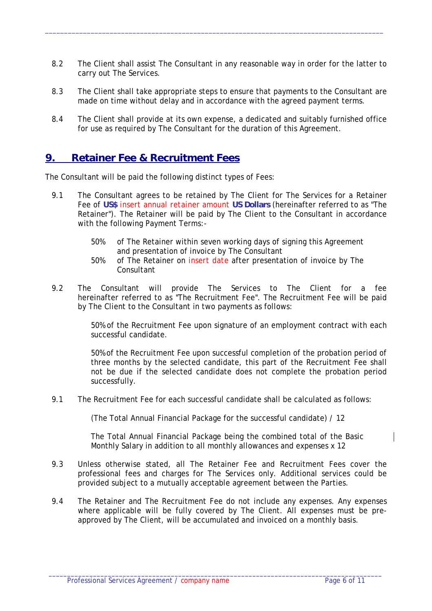8.2 The Client shall assist The Consultant in any reasonable way in order for the latter to carry out The Services.

 $\_$  ,  $\_$  ,  $\_$  ,  $\_$  ,  $\_$  ,  $\_$  ,  $\_$  ,  $\_$  ,  $\_$  ,  $\_$  ,  $\_$  ,  $\_$  ,  $\_$  ,  $\_$  ,  $\_$  ,  $\_$  ,  $\_$  ,  $\_$  ,  $\_$  ,  $\_$  ,  $\_$  ,  $\_$  ,  $\_$  ,  $\_$  ,  $\_$  ,  $\_$  ,  $\_$  ,  $\_$  ,  $\_$  ,  $\_$  ,  $\_$  ,  $\_$  ,  $\_$  ,  $\_$  ,  $\_$  ,  $\_$  ,  $\_$  ,

- 8.3 The Client shall take appropriate steps to ensure that payments to the Consultant are made on time without delay and in accordance with the agreed payment terms.
- 8.4 The Client shall provide at its own expense, a dedicated and suitably furnished office for use as required by The Consultant for the duration of this Agreement.

#### **9. Retainer Fee & Recruitment Fees**

The Consultant will be paid the following distinct types of Fees:

- 9.1 The Consultant agrees to be retained by The Client for The Services for a Retainer Fee of **US\$** *insert annual retainer amount* **US Dollars** (hereinafter referred to as "The Retainer"). The Retainer will be paid by The Client to the Consultant in accordance with the following Payment Terms:-
	- 50% of The Retainer within seven working days of signing this Agreement and presentation of invoice by The Consultant
	- 50% of The Retainer on *insert date* after presentation of invoice by The Consultant
- 9.2 The Consultant will provide The Services to The Client for a fee hereinafter referred to as "The Recruitment Fee". The Recruitment Fee will be paid by The Client to the Consultant in two payments as follows:

50% of the Recruitment Fee upon signature of an employment contract with each successful candidate.

50% of the Recruitment Fee upon successful completion of the probation period of three months by the selected candidate, this part of the Recruitment Fee shall not be due if the selected candidate does not complete the probation period successfully.

9.1 The Recruitment Fee for each successful candidate shall be calculated as follows:

(The Total Annual Financial Package for the successful candidate) / 12

The Total Annual Financial Package being the combined total of the Basic Monthly Salary in addition to all monthly allowances and expenses x 12

- 9.3 Unless otherwise stated, all The Retainer Fee and Recruitment Fees cover the professional fees and charges for The Services only. Additional services could be provided subject to a mutually acceptable agreement between the Parties.
- 9.4 The Retainer and The Recruitment Fee do not include any expenses. Any expenses where applicable will be fully covered by The Client. All expenses must be preapproved by The Client, will be accumulated and invoiced on a monthly basis.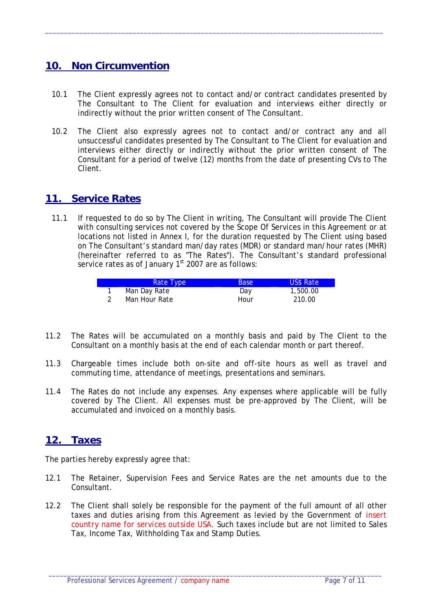### **10. Non Circumvention**

10.1 The Client expressly agrees not to contact and/or contract candidates presented by The Consultant to The Client for evaluation and interviews either directly or indirectly without the prior written consent of The Consultant.

 $\_$  ,  $\_$  ,  $\_$  ,  $\_$  ,  $\_$  ,  $\_$  ,  $\_$  ,  $\_$  ,  $\_$  ,  $\_$  ,  $\_$  ,  $\_$  ,  $\_$  ,  $\_$  ,  $\_$  ,  $\_$  ,  $\_$  ,  $\_$  ,  $\_$  ,  $\_$  ,  $\_$  ,  $\_$  ,  $\_$  ,  $\_$  ,  $\_$  ,  $\_$  ,  $\_$  ,  $\_$  ,  $\_$  ,  $\_$  ,  $\_$  ,  $\_$  ,  $\_$  ,  $\_$  ,  $\_$  ,  $\_$  ,  $\_$  ,

10.2 The Client also expressly agrees not to contact and/or contract any and all unsuccessful candidates presented by The Consultant to The Client for evaluation and interviews either directly or indirectly without the prior written consent of The Consultant for a period of twelve (12) months from the date of presenting CVs to The Client.

#### **11. Service Rates**

11.1 If requested to do so by The Client in writing, The Consultant will provide The Client with consulting services not covered by the Scope Of Services in this Agreement or at locations not listed in Annex I, for the duration requested by The Client using based on The Consultant's standard man/day rates (MDR) or standard man/hour rates (MHR) (hereinafter referred to as "The Rates"). The Consultant's standard professional service rates as of January  $1<sup>st</sup>$  2007 are as follows:

| Rate Type     | <b>Base</b> | <b>US\$ Rate</b> |
|---------------|-------------|------------------|
| Man Day Rate  | Day         | 1,500.00         |
| Man Hour Rate | Hour        | 210.00           |

- 11.2 The Rates will be accumulated on a monthly basis and paid by The Client to the Consultant on a monthly basis at the end of each calendar month or part thereof.
- 11.3 Chargeable times include both on-site and off-site hours as well as travel and commuting time, attendance of meetings, presentations and seminars.
- 11.4 The Rates do not include any expenses. Any expenses where applicable will be fully covered by The Client. All expenses must be pre-approved by The Client, will be accumulated and invoiced on a monthly basis.

### **12. Taxes**

The parties hereby expressly agree that:

- 12.1 The Retainer, Supervision Fees and Service Rates are the net amounts due to the Consultant.
- 12.2 The Client shall solely be responsible for the payment of the full amount of all other taxes and duties arising from this Agreement as levied by the Government of *insert country name for services outside USA*. Such taxes include but are not limited to Sales Tax, Income Tax, Withholding Tax and Stamp Duties.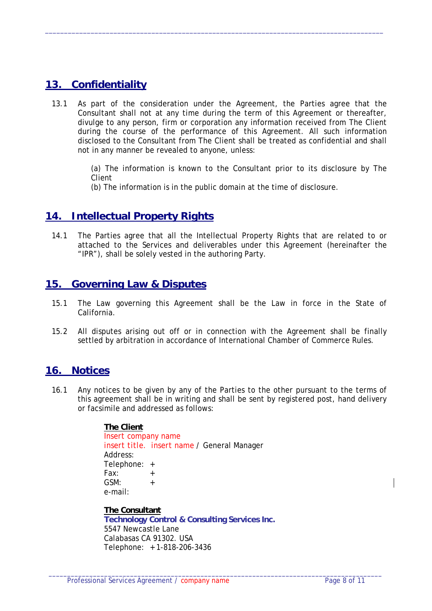# **13. Confidentiality**

13.1 As part of the consideration under the Agreement, the Parties agree that the Consultant shall not at any time during the term of this Agreement or thereafter, divulge to any person, firm or corporation any information received from The Client during the course of the performance of this Agreement. All such information disclosed to the Consultant from The Client shall be treated as confidential and shall not in any manner be revealed to anyone, unless:

 $\_$  ,  $\_$  ,  $\_$  ,  $\_$  ,  $\_$  ,  $\_$  ,  $\_$  ,  $\_$  ,  $\_$  ,  $\_$  ,  $\_$  ,  $\_$  ,  $\_$  ,  $\_$  ,  $\_$  ,  $\_$  ,  $\_$  ,  $\_$  ,  $\_$  ,  $\_$  ,  $\_$  ,  $\_$  ,  $\_$  ,  $\_$  ,  $\_$  ,  $\_$  ,  $\_$  ,  $\_$  ,  $\_$  ,  $\_$  ,  $\_$  ,  $\_$  ,  $\_$  ,  $\_$  ,  $\_$  ,  $\_$  ,  $\_$  ,

(a) The information is known to the Consultant prior to its disclosure by The Client

(b) The information is in the public domain at the time of disclosure.

#### **14. Intellectual Property Rights**

14.1 The Parties agree that all the Intellectual Property Rights that are related to or attached to the Services and deliverables under this Agreement (hereinafter the "IPR"), shall be solely vested in the authoring Party.

#### **15. Governing Law & Disputes**

- 15.1 The Law governing this Agreement shall be the Law in force in the State of California.
- 15.2 All disputes arising out off or in connection with the Agreement shall be finally settled by arbitration in accordance of International Chamber of Commerce Rules.

#### **16. Notices**

16.1 Any notices to be given by any of the Parties to the other pursuant to the terms of this agreement shall be in writing and shall be sent by registered post, hand delivery or facsimile and addressed as follows:

#### **The Client**

*Insert company name insert title. insert name* / General Manager Address: Telephone: + Fax: +  $GSM:$  + e-mail:

#### **The Consultant**

**Technology Control & Consulting Services Inc.**  5547 Newcastle Lane Calabasas CA 91302. USA Telephone: + 1-818-206-3436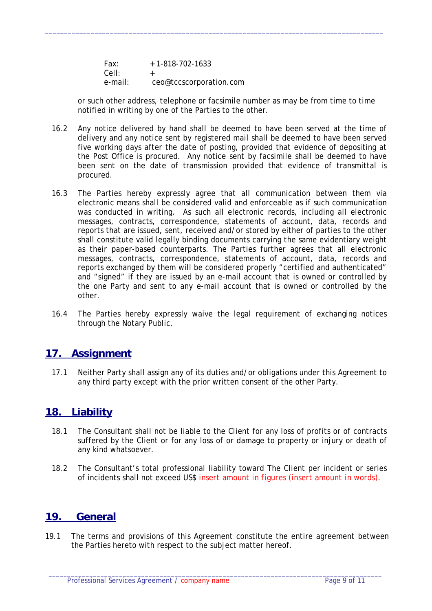| Fax:    | $+ 1 - 818 - 702 - 1633$ |
|---------|--------------------------|
| Cell:   |                          |
| e-mail: | ceo@tccscorporation.com  |

or such other address, telephone or facsimile number as may be from time to time notified in writing by one of the Parties to the other.

 $\_$  ,  $\_$  ,  $\_$  ,  $\_$  ,  $\_$  ,  $\_$  ,  $\_$  ,  $\_$  ,  $\_$  ,  $\_$  ,  $\_$  ,  $\_$  ,  $\_$  ,  $\_$  ,  $\_$  ,  $\_$  ,  $\_$  ,  $\_$  ,  $\_$  ,  $\_$  ,  $\_$  ,  $\_$  ,  $\_$  ,  $\_$  ,  $\_$  ,  $\_$  ,  $\_$  ,  $\_$  ,  $\_$  ,  $\_$  ,  $\_$  ,  $\_$  ,  $\_$  ,  $\_$  ,  $\_$  ,  $\_$  ,  $\_$  ,

- 16.2 Any notice delivered by hand shall be deemed to have been served at the time of delivery and any notice sent by registered mail shall be deemed to have been served five working days after the date of posting, provided that evidence of depositing at the Post Office is procured. Any notice sent by facsimile shall be deemed to have been sent on the date of transmission provided that evidence of transmittal is procured.
- 16.3 The Parties hereby expressly agree that all communication between them via electronic means shall be considered valid and enforceable as if such communication was conducted in writing. As such all electronic records, including all electronic messages, contracts, correspondence, statements of account, data, records and reports that are issued, sent, received and/or stored by either of parties to the other shall constitute valid legally binding documents carrying the same evidentiary weight as their paper-based counterparts. The Parties further agrees that all electronic messages, contracts, correspondence, statements of account, data, records and reports exchanged by them will be considered properly "certified and authenticated" and "signed" if they are issued by an e-mail account that is owned or controlled by the one Party and sent to any e-mail account that is owned or controlled by the other.
- 16.4 The Parties hereby expressly waive the legal requirement of exchanging notices through the Notary Public.

#### **17. Assignment**

17.1 Neither Party shall assign any of its duties and/or obligations under this Agreement to any third party except with the prior written consent of the other Party.

#### **18. Liability**

- 18.1 The Consultant shall not be liable to the Client for any loss of profits or of contracts suffered by the Client or for any loss of or damage to property or injury or death of any kind whatsoever.
- 18.2 The Consultant's total professional liability toward The Client per incident or series of incidents shall not exceed US\$ *insert amount in figures (insert amount in words)*.

#### **19. General**

19.1 The terms and provisions of this Agreement constitute the entire agreement between the Parties hereto with respect to the subject matter hereof.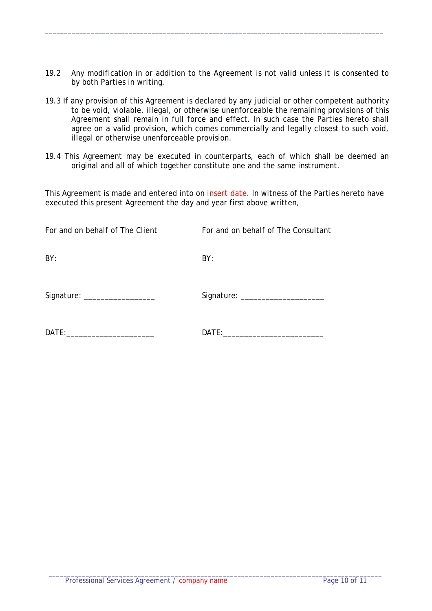19.2 Any modification in or addition to the Agreement is not valid unless it is consented to by both Parties in writing.

 $\_$  ,  $\_$  ,  $\_$  ,  $\_$  ,  $\_$  ,  $\_$  ,  $\_$  ,  $\_$  ,  $\_$  ,  $\_$  ,  $\_$  ,  $\_$  ,  $\_$  ,  $\_$  ,  $\_$  ,  $\_$  ,  $\_$  ,  $\_$  ,  $\_$  ,  $\_$  ,  $\_$  ,  $\_$  ,  $\_$  ,  $\_$  ,  $\_$  ,  $\_$  ,  $\_$  ,  $\_$  ,  $\_$  ,  $\_$  ,  $\_$  ,  $\_$  ,  $\_$  ,  $\_$  ,  $\_$  ,  $\_$  ,  $\_$  ,

- 19.3 If any provision of this Agreement is declared by any judicial or other competent authority to be void, violable, illegal, or otherwise unenforceable the remaining provisions of this Agreement shall remain in full force and effect. In such case the Parties hereto shall agree on a valid provision, which comes commercially and legally closest to such void, illegal or otherwise unenforceable provision.
- 19.4 This Agreement may be executed in counterparts, each of which shall be deemed an original and all of which together constitute one and the same instrument.

This Agreement is made and entered into on *insert date*. In witness of the Parties hereto have executed this present Agreement the day and year first above written,

| For and on behalf of The Client | For and on behalf of The Consultant |
|---------------------------------|-------------------------------------|
| BY:                             | BY:                                 |
| Signature: ___________________  | Signature: ______________________   |
| DATE:                           | DATE:                               |